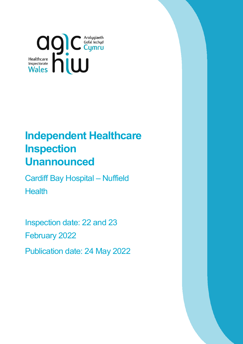

# **Independent Healthcare Inspection Unannounced**

Cardiff Bay Hospital – Nuffield **Health** 

Inspection date: 22 and 23 February 2022

Publication date: 24 May 2022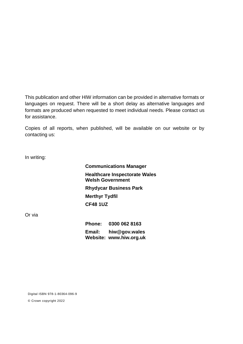This publication and other HIW information can be provided in alternative formats or languages on request. There will be a short delay as alternative languages and formats are produced when requested to meet individual needs. Please contact us for assistance.

Copies of all reports, when published, will be available on our website or by contacting us:

In writing:

**Communications Manager Healthcare Inspectorate Wales Welsh Government Rhydycar Business Park Merthyr Tydfil CF48 1UZ**

Or via

**Phone: 0300 062 8163 Email: [hiw@gov.wales](mailto:hiw@gov.wales) Website: [www.hiw.org.uk](http://www.hiw.org.uk/)**

Digital ISBN 978-1-80364-096-9

© Crown copyright 2022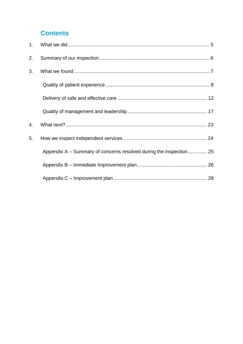# **Contents**

| 1. |                                                                    |  |
|----|--------------------------------------------------------------------|--|
| 2. |                                                                    |  |
| 3. |                                                                    |  |
|    |                                                                    |  |
|    |                                                                    |  |
|    |                                                                    |  |
| 4. |                                                                    |  |
| 5. |                                                                    |  |
|    | Appendix A – Summary of concerns resolved during the inspection 25 |  |
|    |                                                                    |  |
|    |                                                                    |  |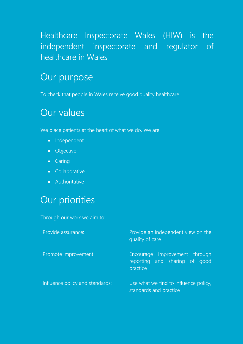# Healthcare Inspectorate Wales (HIW) is the independent inspectorate and regulator of healthcare in Wales

# Our purpose

To check that people in Wales receive good quality healthcare

# Our values

We place patients at the heart of what we do. We are:

- Independent
- **•** Objective
- Caring
- **•** Collaborative
- Authoritative

# Our priorities

Through our work we aim to:

| Provide assurance:              | Provide an independent view on the<br>quality of care                      |  |
|---------------------------------|----------------------------------------------------------------------------|--|
| Promote improvement:            | Encourage improvement through<br>reporting and sharing of good<br>practice |  |
| Influence policy and standards: | Use what we find to influence policy,<br>standards and practice            |  |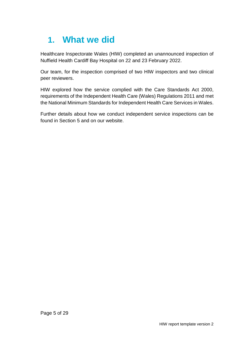# <span id="page-4-0"></span>**1. What we did**

Healthcare Inspectorate Wales (HIW) completed an unannounced inspection of Nuffield Health Cardiff Bay Hospital on 22 and 23 February 2022.

Our team, for the inspection comprised of two HIW inspectors and two clinical peer reviewers.

HIW explored how the service complied with the Care Standards Act 2000, requirements of the Independent Health Care (Wales) Regulations 2011 and met the National Minimum Standards for Independent Health Care Services in Wales.

Further details about how we conduct independent service inspections can be found in Section 5 and on our website.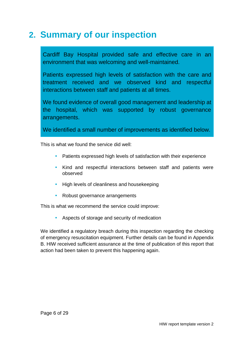# <span id="page-5-0"></span>**2. Summary of our inspection**

Cardiff Bay Hospital provided safe and effective care in an environment that was welcoming and well-maintained.

Patients expressed high levels of satisfaction with the care and treatment received and we observed kind and respectful interactions between staff and patients at all times.

We found evidence of overall good management and leadership at the hospital, which was supported by robust governance arrangements.

We identified a small number of improvements as identified below.

This is what we found the service did well:

- Patients expressed high levels of satisfaction with their experience
- Kind and respectful interactions between staff and patients were observed
- High levels of cleanliness and housekeeping
- Robust governance arrangements

This is what we recommend the service could improve:

Aspects of storage and security of medication

We identified a regulatory breach during this inspection regarding the checking of emergency resuscitation equipment. Further details can be found in Appendix B. HIW received sufficient assurance at the time of publication of this report that action had been taken to prevent this happening again.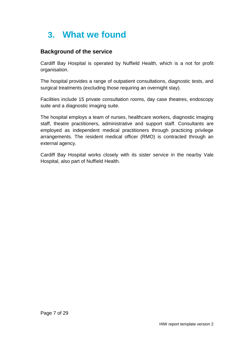# <span id="page-6-0"></span>**3. What we found**

### **Background of the service**

Cardiff Bay Hospital is operated by Nuffield Health, which is a not for profit organisation.

The hospital provides a range of outpatient consultations, diagnostic tests, and surgical treatments (excluding those requiring an overnight stay).

Facilities include 15 private consultation rooms, day case theatres, endoscopy suite and a diagnostic imaging suite.

The hospital employs a team of nurses, healthcare workers, diagnostic imaging staff, theatre practitioners, administrative and support staff. Consultants are employed as independent medical practitioners through practicing privilege arrangements. The resident medical officer (RMO) is contracted through an external agency.

Cardiff Bay Hospital works closely with its sister service in the nearby Vale Hospital, also part of Nuffield Health.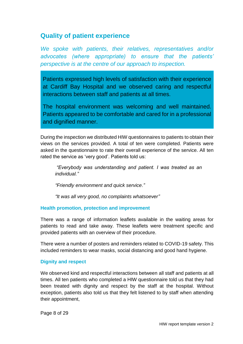### <span id="page-7-0"></span>**Quality of patient experience**

*We spoke with patients, their relatives, representatives and/or advocates (where appropriate) to ensure that the patients' perspective is at the centre of our approach to inspection.*

Patients expressed high levels of satisfaction with their experience at Cardiff Bay Hospital and we observed caring and respectful interactions between staff and patients at all times.

The hospital environment was welcoming and well maintained. Patients appeared to be comfortable and cared for in a professional and dignified manner.

During the inspection we distributed HIW questionnaires to patients to obtain their views on the services provided. A total of ten were completed. Patients were asked in the questionnaire to rate their overall experience of the service. All ten rated the service as 'very good'. Patients told us:

*"Everybody was understanding and patient. I was treated as an individual."*

*"Friendly environment and quick service."* 

*"It was all very good, no complaints whatsoever"*

#### **Health promotion, protection and improvement**

There was a range of information leaflets available in the waiting areas for patients to read and take away. These leaflets were treatment specific and provided patients with an overview of their procedure.

There were a number of posters and reminders related to COVID-19 safety. This included reminders to wear masks, social distancing and good hand hygiene.

#### **Dignity and respect**

We observed kind and respectful interactions between all staff and patients at all times. All ten patients who completed a HIW questionnaire told us that they had been treated with dignity and respect by the staff at the hospital. Without exception, patients also told us that they felt listened to by staff when attending their appointment,

Page 8 of 29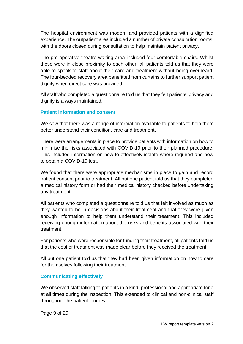The hospital environment was modern and provided patients with a dignified experience. The outpatient area included a number of private consultation rooms, with the doors closed during consultation to help maintain patient privacy.

The pre-operative theatre waiting area included four comfortable chairs. Whilst these were in close proximity to each other, all patients told us that they were able to speak to staff about their care and treatment without being overheard. The four-bedded recovery area benefitted from curtains to further support patient dignity when direct care was provided.

All staff who completed a questionnaire told us that they felt patients' privacy and dignity is always maintained.

#### **Patient information and consent**

We saw that there was a range of information available to patients to help them better understand their condition, care and treatment.

There were arrangements in place to provide patients with information on how to minimise the risks associated with COVID-19 prior to their planned procedure. This included information on how to effectively isolate where required and how to obtain a COVID-19 test.

We found that there were appropriate mechanisms in place to gain and record patient consent prior to treatment. All but one patient told us that they completed a medical history form or had their medical history checked before undertaking any treatment.

All patients who completed a questionnaire told us that felt involved as much as they wanted to be in decisions about their treatment and that they were given enough information to help them understand their treatment. This included receiving enough information about the risks and benefits associated with their treatment.

For patients who were responsible for funding their treatment, all patients told us that the cost of treatment was made clear before they received the treatment.

All but one patient told us that they had been given information on how to care for themselves following their treatment.

#### **Communicating effectively**

We observed staff talking to patients in a kind, professional and appropriate tone at all times during the inspection. This extended to clinical and non-clinical staff throughout the patient journey.

Page 9 of 29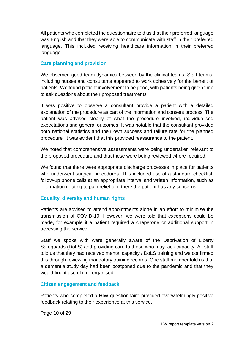All patients who completed the questionnaire told us that their preferred language was English and that they were able to communicate with staff in their preferred language. This included receiving healthcare information in their preferred language

#### **Care planning and provision**

We observed good team dynamics between by the clinical teams. Staff teams, including nurses and consultants appeared to work cohesively for the benefit of patients. We found patient involvement to be good, with patients being given time to ask questions about their proposed treatments.

It was positive to observe a consultant provide a patient with a detailed explanation of the procedure as part of the information and consent process. The patient was advised clearly of what the procedure involved, individualised expectations and general outcomes. It was notable that the consultant provided both national statistics and their own success and failure rate for the planned procedure. It was evident that this provided reassurance to the patient.

We noted that comprehensive assessments were being undertaken relevant to the proposed procedure and that these were being reviewed where required.

We found that there were appropriate discharge processes in place for patients who underwent surgical procedures. This included use of a standard checklist, follow-up phone calls at an appropriate interval and written information, such as information relating to pain relief or if there the patient has any concerns.

#### **Equality, diversity and human rights**

Patients are advised to attend appointments alone in an effort to minimise the transmission of COVID-19. However, we were told that exceptions could be made, for example if a patient required a chaperone or additional support in accessing the service.

Staff we spoke with were generally aware of the Deprivation of Liberty Safeguards (DoLS) and providing care to those who may lack capacity. All staff told us that they had received mental capacity / DoLS training and we confirmed this through reviewing mandatory training records. One staff member told us that a dementia study day had been postponed due to the pandemic and that they would find it useful if re-organised.

#### **Citizen engagement and feedback**

Patients who completed a HIW questionnaire provided overwhelmingly positive feedback relating to their experience at this service.

Page 10 of 29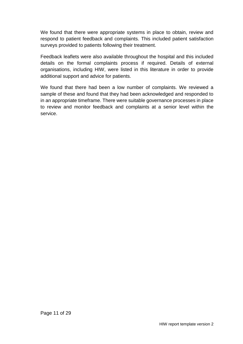We found that there were appropriate systems in place to obtain, review and respond to patient feedback and complaints. This included patient satisfaction surveys provided to patients following their treatment.

Feedback leaflets were also available throughout the hospital and this included details on the formal complaints process if required. Details of external organisations, including HIW, were listed in this literature in order to provide additional support and advice for patients.

We found that there had been a low number of complaints. We reviewed a sample of these and found that they had been acknowledged and responded to in an appropriate timeframe. There were suitable governance processes in place to review and monitor feedback and complaints at a senior level within the service.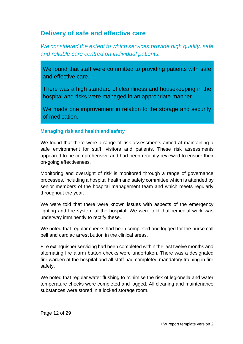### <span id="page-11-0"></span>**Delivery of safe and effective care**

*We considered the extent to which services provide high quality, safe and reliable care centred on individual patients.*

We found that staff were committed to providing patients with safe and effective care.

There was a high standard of cleanliness and housekeeping in the hospital and risks were managed in an appropriate manner.

We made one improvement in relation to the storage and security of medication.

#### **Managing risk and health and safety**

We found that there were a range of risk assessments aimed at maintaining a safe environment for staff, visitors and patients. These risk assessments appeared to be comprehensive and had been recently reviewed to ensure their on-going effectiveness.

Monitoring and oversight of risk is monitored through a range of governance processes, including a hospital health and safety committee which is attended by senior members of the hospital management team and which meets regularly throughout the year.

We were told that there were known issues with aspects of the emergency lighting and fire system at the hospital. We were told that remedial work was underway imminently to rectify these.

We noted that regular checks had been completed and logged for the nurse call bell and cardiac arrest button in the clinical areas.

Fire extinguisher servicing had been completed within the last twelve months and alternating fire alarm button checks were undertaken. There was a designated fire warden at the hospital and all staff had completed mandatory training in fire safety.

We noted that regular water flushing to minimise the risk of legionella and water temperature checks were completed and logged. All cleaning and maintenance substances were stored in a locked storage room.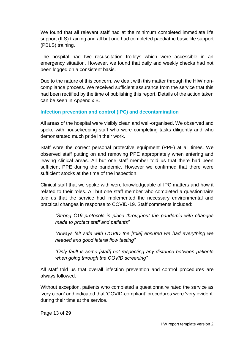We found that all relevant staff had at the minimum completed immediate life support (ILS) training and all but one had completed paediatric basic life support (PBLS) training.

The hospital had two resuscitation trolleys which were accessible in an emergency situation. However, we found that daily and weekly checks had not been logged on a consistent basis.

Due to the nature of this concern, we dealt with this matter through the HIW noncompliance process. We received sufficient assurance from the service that this had been rectified by the time of publishing this report. Details of the action taken can be seen in Appendix B.

#### **Infection prevention and control (IPC) and decontamination**

All areas of the hospital were visibly clean and well-organised. We observed and spoke with housekeeping staff who were completing tasks diligently and who demonstrated much pride in their work.

Staff wore the correct personal protective equipment (PPE) at all times. We observed staff putting on and removing PPE appropriately when entering and leaving clinical areas. All but one staff member told us that there had been sufficient PPE during the pandemic. However we confirmed that there were sufficient stocks at the time of the inspection.

Clinical staff that we spoke with were knowledgeable of IPC matters and how it related to their roles. All but one staff member who completed a questionnaire told us that the service had implemented the necessary environmental and practical changes in response to COVID-19. Staff comments included:

*"Strong C19 protocols in place throughout the pandemic with changes made to protect staff and patients"*

*"Always felt safe with COVID the [role] ensured we had everything we needed and good lateral flow testing"*

*"Only fault is some [staff] not respecting any distance between patients when going through the COVID screening"*

All staff told us that overall infection prevention and control procedures are always followed.

Without exception, patients who completed a questionnaire rated the service as 'very clean' and indicated that 'COVID-compliant' procedures were 'very evident' during their time at the service.

Page 13 of 29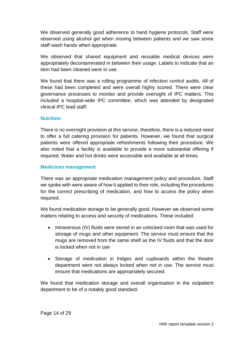We observed generally good adherence to hand hygiene protocols. Staff were observed using alcohol gel when moving between patients and we saw some staff wash hands when appropriate.

We observed that shared equipment and reusable medical devices were appropriately decontaminated in between their usage. Labels to indicate that an item had been cleaned were in use.

We found that there was a rolling programme of infection control audits. All of these had been completed and were overall highly scored. There were clear governance processes to monitor and provide oversight of IPC matters. This included a hospital-wide IPC committee, which was attended by designated clinical IPC lead staff.

#### **Nutrition**

There is no overnight provision at this service, therefore, there is a reduced need to offer a full catering provision for patients. However, we found that surgical patients were offered appropriate refreshments following their procedure. We also noted that a facility is available to provide a more substantial offering if required. Water and hot drinks were accessible and available at all times.

#### **Medicines management**

There was an appropriate medication management policy and procedure. Staff we spoke with were aware of how it applied to their role, including the procedures for the correct prescribing of medication, and how to access the policy when required.

We found medication storage to be generally good. However we observed some matters relating to access and security of medications. These included:

- Intravenous (IV) fluids were stored in an unlocked room that was used for storage of mugs and other equipment. The service must ensure that the mugs are removed from the same shelf as the IV fluids and that the door is locked when not in use
- Storage of medication in fridges and cupboards within the theatre department were not always locked when not in use. The service must ensure that medications are appropriately secured.

We found that medication storage and overall organisation in the outpatient department to be of a notably good standard.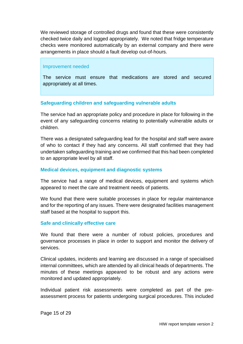We reviewed storage of controlled drugs and found that these were consistently checked twice daily and logged appropriately. We noted that fridge temperature checks were monitored automatically by an external company and there were arrangements in place should a fault develop out-of-hours.

#### Improvement needed

The service must ensure that medications are stored and secured appropriately at all times.

#### **Safeguarding children and safeguarding vulnerable adults**

The service had an appropriate policy and procedure in place for following in the event of any safeguarding concerns relating to potentially vulnerable adults or children.

There was a designated safeguarding lead for the hospital and staff were aware of who to contact if they had any concerns. All staff confirmed that they had undertaken safeguarding training and we confirmed that this had been completed to an appropriate level by all staff.

#### **Medical devices, equipment and diagnostic systems**

The service had a range of medical devices, equipment and systems which appeared to meet the care and treatment needs of patients.

We found that there were suitable processes in place for regular maintenance and for the reporting of any issues. There were designated facilities management staff based at the hospital to support this.

#### **Safe and clinically effective care**

We found that there were a number of robust policies, procedures and governance processes in place in order to support and monitor the delivery of services.

Clinical updates, incidents and learning are discussed in a range of specialised internal committees, which are attended by all clinical heads of departments. The minutes of these meetings appeared to be robust and any actions were monitored and updated appropriately.

Individual patient risk assessments were completed as part of the preassessment process for patients undergoing surgical procedures. This included

Page 15 of 29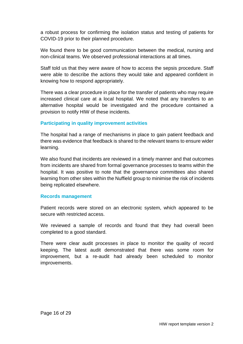a robust process for confirming the isolation status and testing of patients for COVID-19 prior to their planned procedure.

We found there to be good communication between the medical, nursing and non-clinical teams. We observed professional interactions at all times.

Staff told us that they were aware of how to access the sepsis procedure. Staff were able to describe the actions they would take and appeared confident in knowing how to respond appropriately.

There was a clear procedure in place for the transfer of patients who may require increased clinical care at a local hospital. We noted that any transfers to an alternative hospital would be investigated and the procedure contained a provision to notify HIW of these incidents.

#### **Participating in quality improvement activities**

The hospital had a range of mechanisms in place to gain patient feedback and there was evidence that feedback is shared to the relevant teams to ensure wider learning.

We also found that incidents are reviewed in a timely manner and that outcomes from incidents are shared from formal governance processes to teams within the hospital. It was positive to note that the governance committees also shared learning from other sites within the Nuffield group to minimise the risk of incidents being replicated elsewhere.

#### **Records management**

Patient records were stored on an electronic system, which appeared to be secure with restricted access.

We reviewed a sample of records and found that they had overall been completed to a good standard.

There were clear audit processes in place to monitor the quality of record keeping. The latest audit demonstrated that there was some room for improvement, but a re-audit had already been scheduled to monitor improvements.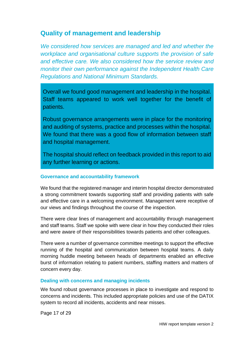### <span id="page-16-0"></span>**Quality of management and leadership**

*We considered how services are managed and led and whether the workplace and organisational culture supports the provision of safe and effective care. We also considered how the service review and monitor their own performance against the Independent Health Care Regulations and National Minimum Standards.*

Overall we found good management and leadership in the hospital. Staff teams appeared to work well together for the benefit of patients.

Robust governance arrangements were in place for the monitoring and auditing of systems, practice and processes within the hospital. We found that there was a good flow of information between staff and hospital management.

The hospital should reflect on feedback provided in this report to aid any further learning or actions.

#### **Governance and accountability framework**

We found that the registered manager and interim hospital director demonstrated a strong commitment towards supporting staff and providing patients with safe and effective care in a welcoming environment. Management were receptive of our views and findings throughout the course of the inspection.

There were clear lines of management and accountability through management and staff teams. Staff we spoke with were clear in how they conducted their roles and were aware of their responsibilities towards patients and other colleagues.

There were a number of governance committee meetings to support the effective running of the hospital and communication between hospital teams. A daily morning huddle meeting between heads of departments enabled an effective burst of information relating to patient numbers, staffing matters and matters of concern every day.

#### **Dealing with concerns and managing incidents**

We found robust governance processes in place to investigate and respond to concerns and incidents. This included appropriate policies and use of the DATIX system to record all incidents, accidents and near misses.

Page 17 of 29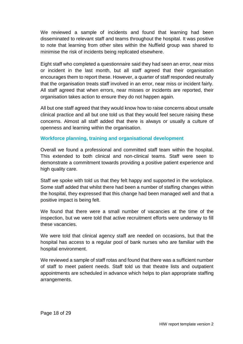We reviewed a sample of incidents and found that learning had been disseminated to relevant staff and teams throughout the hospital. It was positive to note that learning from other sites within the Nuffield group was shared to minimise the risk of incidents being replicated elsewhere.

Eight staff who completed a questionnaire said they had seen an error, near miss or incident in the last month, but all staff agreed that their organisation encourages them to report these. However, a quarter of staff responded neutrally that the organisation treats staff involved in an error, near miss or incident fairly. All staff agreed that when errors, near misses or incidents are reported, their organisation takes action to ensure they do not happen again.

All but one staff agreed that they would know how to raise concerns about unsafe clinical practice and all but one told us that they would feel secure raising these concerns. Almost all staff added that there is always or usually a culture of openness and learning within the organisation.

#### **Workforce planning, training and organisational development**

Overall we found a professional and committed staff team within the hospital. This extended to both clinical and non-clinical teams. Staff were seen to demonstrate a commitment towards providing a positive patient experience and high quality care.

Staff we spoke with told us that they felt happy and supported in the workplace. Some staff added that whilst there had been a number of staffing changes within the hospital, they expressed that this change had been managed well and that a positive impact is being felt.

We found that there were a small number of vacancies at the time of the inspection, but we were told that active recruitment efforts were underway to fill these vacancies.

We were told that clinical agency staff are needed on occasions, but that the hospital has access to a regular pool of bank nurses who are familiar with the hospital environment.

We reviewed a sample of staff rotas and found that there was a sufficient number of staff to meet patient needs. Staff told us that theatre lists and outpatient appointments are scheduled in advance which helps to plan appropriate staffing arrangements.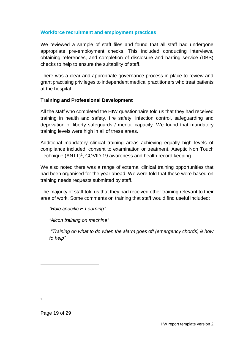#### **Workforce recruitment and employment practices**

We reviewed a sample of staff files and found that all staff had undergone appropriate pre-employment checks. This included conducting interviews, obtaining references, and completion of disclosure and barring service (DBS) checks to help to ensure the suitability of staff.

There was a clear and appropriate governance process in place to review and grant practising privileges to independent medical practitioners who treat patients at the hospital.

#### **Training and Professional Development**

All the staff who completed the HIW questionnaire told us that they had received training in health and safety, fire safety, infection control, safeguarding and deprivation of liberty safeguards / mental capacity. We found that mandatory training levels were high in all of these areas.

Additional mandatory clinical training areas achieving equally high levels of compliance included: consent to examination or treatment, Aseptic Non Touch Technique (ANTT)<sup>1</sup>, COVID-19 awareness and health record keeping.

We also noted there was a range of external clinical training opportunities that had been organised for the year ahead. We were told that these were based on training needs requests submitted by staff.

The majority of staff told us that they had received other training relevant to their area of work. Some comments on training that staff would find useful included:

*"Role specific E-Learning"*

*"Alcon training on machine"*

*"Training on what to do when the alarm goes off (emergency chords) & how to help"*

Page 19 of 29

l

1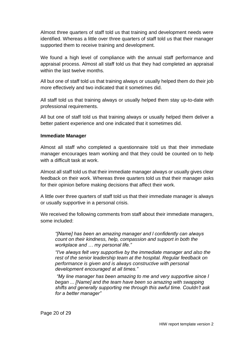Almost three quarters of staff told us that training and development needs were identified. Whereas a little over three quarters of staff told us that their manager supported them to receive training and development.

We found a high level of compliance with the annual staff performance and appraisal process. Almost all staff told us that they had completed an appraisal within the last twelve months.

All but one of staff told us that training always or usually helped them do their job more effectively and two indicated that it sometimes did.

All staff told us that training always or usually helped them stay up-to-date with professional requirements.

All but one of staff told us that training always or usually helped them deliver a better patient experience and one indicated that it sometimes did.

#### **Immediate Manager**

Almost all staff who completed a questionnaire told us that their immediate manager encourages team working and that they could be counted on to help with a difficult task at work.

Almost all staff told us that their immediate manager always or usually gives clear feedback on their work. Whereas three quarters told us that their manager asks for their opinion before making decisions that affect their work.

A little over three quarters of staff told us that their immediate manager is always or usually supportive in a personal crisis.

We received the following comments from staff about their immediate managers, some included:

*"[Name] has been an amazing manager and l confidently can always count on their kindness, help, compassion and support in both the workplace and … my personal life."*

*"I've always felt very supportive by the immediate manager and also the rest of the senior leadership team at the hospital. Regular feedback on performance is given and is always constructive with personal development encouraged at all times."*

*"My line manager has been amazing to me and very supportive since I began ... [Name] and the team have been so amazing with swapping shifts and generally supporting me through this awful time. Couldn't ask for a better manager"*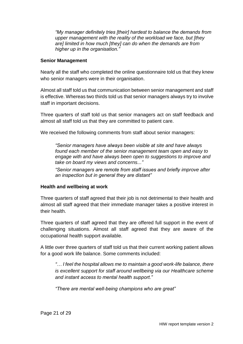*"My manager definitely tries [their] hardest to balance the demands from upper management with the reality of the workload we face, but [they are] limited in how much [they] can do when the demands are from higher up in the organisation."*

#### **Senior Management**

Nearly all the staff who completed the online questionnaire told us that they knew who senior managers were in their organisation.

Almost all staff told us that communication between senior management and staff is effective. Whereas two thirds told us that senior managers always try to involve staff in important decisions.

Three quarters of staff told us that senior managers act on staff feedback and almost all staff told us that they are committed to patient care.

We received the following comments from staff about senior managers:

*"Senior managers have always been visible at site and have always found each member of the senior management team open and easy to engage with and have always been open to suggestions to improve and take on board my views and concerns..."*

*"Senior managers are remote from staff issues and briefly improve after an inspection but in general they are distant"*

#### **Health and wellbeing at work**

Three quarters of staff agreed that their job is not detrimental to their health and almost all staff agreed that their immediate manager takes a positive interest in their health.

Three quarters of staff agreed that they are offered full support in the event of challenging situations. Almost all staff agreed that they are aware of the occupational health support available.

A little over three quarters of staff told us that their current working patient allows for a good work life balance. Some comments included:

*"… I feel the hospital allows me to maintain a good work-life balance, there is excellent support for staff around wellbeing via our Healthcare scheme and instant access to mental health support."*

*"There are mental well-being champions who are great"*

Page 21 of 29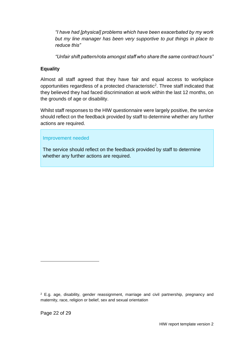*"I have had [physical] problems which have been exacerbated by my work but my line manager has been very supportive to put things in place to reduce this"*

*"Unfair shift pattern/rota amongst staff who share the same contract hours"*

### **Equality**

Almost all staff agreed that they have fair and equal access to workplace opportunities regardless of a protected characteristic<sup>2</sup>. Three staff indicated that they believed they had faced discrimination at work within the last 12 months, on the grounds of age or disability.

Whilst staff responses to the HIW questionnaire were largely positive, the service should reflect on the feedback provided by staff to determine whether any further actions are required.

#### Improvement needed

The service should reflect on the feedback provided by staff to determine whether any further actions are required.

l

<sup>2</sup> E.g. age, disability, gender reassignment, marriage and civil partnership, pregnancy and maternity, race, religion or belief, sex and sexual orientation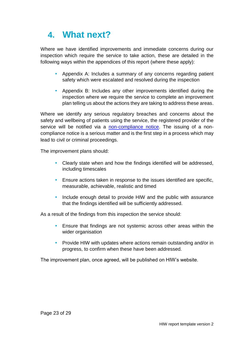# <span id="page-22-0"></span>**4. What next?**

Where we have identified improvements and immediate concerns during our inspection which require the service to take action, these are detailed in the following ways within the appendices of this report (where these apply):

- Appendix A: Includes a summary of any concerns regarding patient safety which were escalated and resolved during the inspection
- Appendix B: Includes any other improvements identified during the inspection where we require the service to complete an improvement plan telling us about the actions they are taking to address these areas.

Where we identify any serious regulatory breaches and concerns about the safety and wellbeing of patients using the service, the registered provider of the service will be notified via a [non-compliance notice.](https://hiw.org.uk/enforcement-and-non-compliance) The issuing of a noncompliance notice is a serious matter and is the first step in a process which may lead to civil or criminal proceedings.

The improvement plans should:

- Clearly state when and how the findings identified will be addressed, including timescales
- Ensure actions taken in response to the issues identified are specific, measurable, achievable, realistic and timed
- Include enough detail to provide HIW and the public with assurance that the findings identified will be sufficiently addressed.

As a result of the findings from this inspection the service should:

- Ensure that findings are not systemic across other areas within the wider organisation
- Provide HIW with updates where actions remain outstanding and/or in progress, to confirm when these have been addressed.

The improvement plan, once agreed, will be published on HIW's website.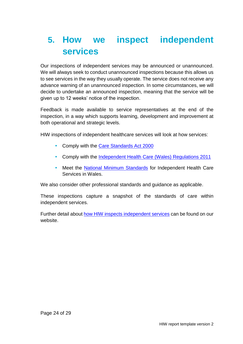# <span id="page-23-0"></span>**5. How we inspect independent services**

Our inspections of independent services may be announced or unannounced. We will always seek to conduct unannounced inspections because this allows us to see services in the way they usually operate. The service does not receive any advance warning of an unannounced inspection. In some circumstances, we will decide to undertake an announced inspection, meaning that the service will be given up to 12 weeks' notice of the inspection.

Feedback is made available to service representatives at the end of the inspection, in a way which supports learning, development and improvement at both operational and strategic levels.

HIW inspections of independent healthcare services will look at how services:

- Comply with the [Care Standards Act 2000](http://www.legislation.gov.uk/ukpga/2000/14/contents)
- Comply with the Independent Health [Care \(Wales\) Regulations 2011](http://www.legislation.gov.uk/wsi/2011/734/contents/made)
- Meet the [National Minimum Standards](https://gov.wales/sites/default/files/publications/2019-07/the-national-minimum-standards-for-independent-health-care-services-in-wales-2011-no-16.pdf) for Independent Health Care Services in Wales.

We also consider other professional standards and guidance as applicable.

These inspections capture a snapshot of the standards of care within independent services.

Further detail about [how HIW inspects independent services](https://hiw.org.uk/sites/default/files/2019-06/170328inspectindependenten.pdf) can be found on our website.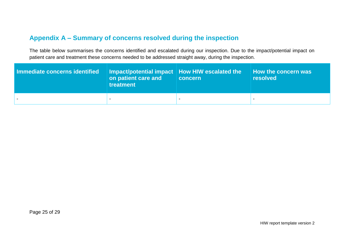## **Appendix A – Summary of concerns resolved during the inspection**

The table below summarises the concerns identified and escalated during our inspection. Due to the impact/potential impact on patient care and treatment these concerns needed to be addressed straight away, during the inspection.

<span id="page-24-0"></span>

| Immediate concerns identified | Impact/potential impact   How HIW escalated the<br>on patient care and<br>treatment | concern | $\parallel$ How the concern was<br><b>resolved</b> |
|-------------------------------|-------------------------------------------------------------------------------------|---------|----------------------------------------------------|
|                               |                                                                                     |         |                                                    |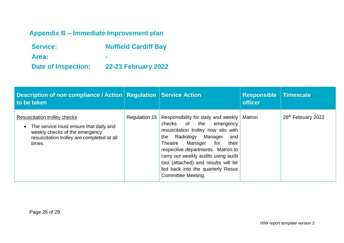# **Appendix B – Immediate Improvement plan**

| <b>Service:</b>            | <b>Nuffield Cardiff Bay</b> |
|----------------------------|-----------------------------|
| Area:                      |                             |
| <b>Date of Inspection:</b> | <b>22-23 February 2022</b>  |

<span id="page-25-0"></span>

| Description of non compliance / Action   Regulation   Service Action<br>to be taken                                                                                     |               |                                                                                                                                                                                                                                                                                                                                                                          | <b>Responsible</b><br><b>officer</b> | Timescale                      |
|-------------------------------------------------------------------------------------------------------------------------------------------------------------------------|---------------|--------------------------------------------------------------------------------------------------------------------------------------------------------------------------------------------------------------------------------------------------------------------------------------------------------------------------------------------------------------------------|--------------------------------------|--------------------------------|
| <b>Resuscitation trolley checks</b><br>The service must ensure that daily and<br>weekly checks of the emergency<br>resuscitation trolley are completed at all<br>times. | Regulation 15 | Responsibility for daily and weekly<br>of<br>the<br>checks<br>emergency<br>resuscitation trolley now sits with<br>Radiology<br>Manager<br>the<br>and<br>their<br>Manager<br>Theatre<br>for<br>respective departments. Matron to<br>carry out weekly audits using audit<br>tool (attached) and results will be<br>fed back into the quarterly Resus<br>Committee Meeting. | Matron                               | 28 <sup>th</sup> February 2022 |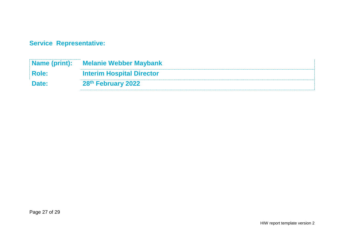**Service Representative:** 

| Name (print): | <b>Melanie Webber Maybank</b>    |
|---------------|----------------------------------|
| <b>Role:</b>  | <b>Interim Hospital Director</b> |
| Date:         | 28th February 2022               |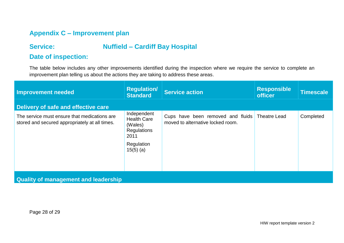## **Appendix C – Improvement plan**

## **Service: Nuffield – Cardiff Bay Hospital**

### **Date of inspection:**

The table below includes any other improvements identified during the inspection where we require the service to complete an improvement plan telling us about the actions they are taking to address these areas.

<span id="page-27-0"></span>

| Improvement needed                                                                             | <b>Regulation/</b><br><b>Standard</b>                                                                   | <b>Service action</b>                                                  | <b>Responsible</b><br><b>officer</b> | Timescale |  |  |
|------------------------------------------------------------------------------------------------|---------------------------------------------------------------------------------------------------------|------------------------------------------------------------------------|--------------------------------------|-----------|--|--|
| Delivery of safe and effective care                                                            |                                                                                                         |                                                                        |                                      |           |  |  |
| The service must ensure that medications are<br>stored and secured appropriately at all times. | Independent<br><b>Health Care</b><br>(Wales)<br><b>Regulations</b><br>2011<br>Regulation<br>$15(5)$ (a) | Cups have been removed and fluids<br>moved to alternative locked room. | <b>Theatre Lead</b>                  | Completed |  |  |
| <b>Quality of management and leadership</b>                                                    |                                                                                                         |                                                                        |                                      |           |  |  |